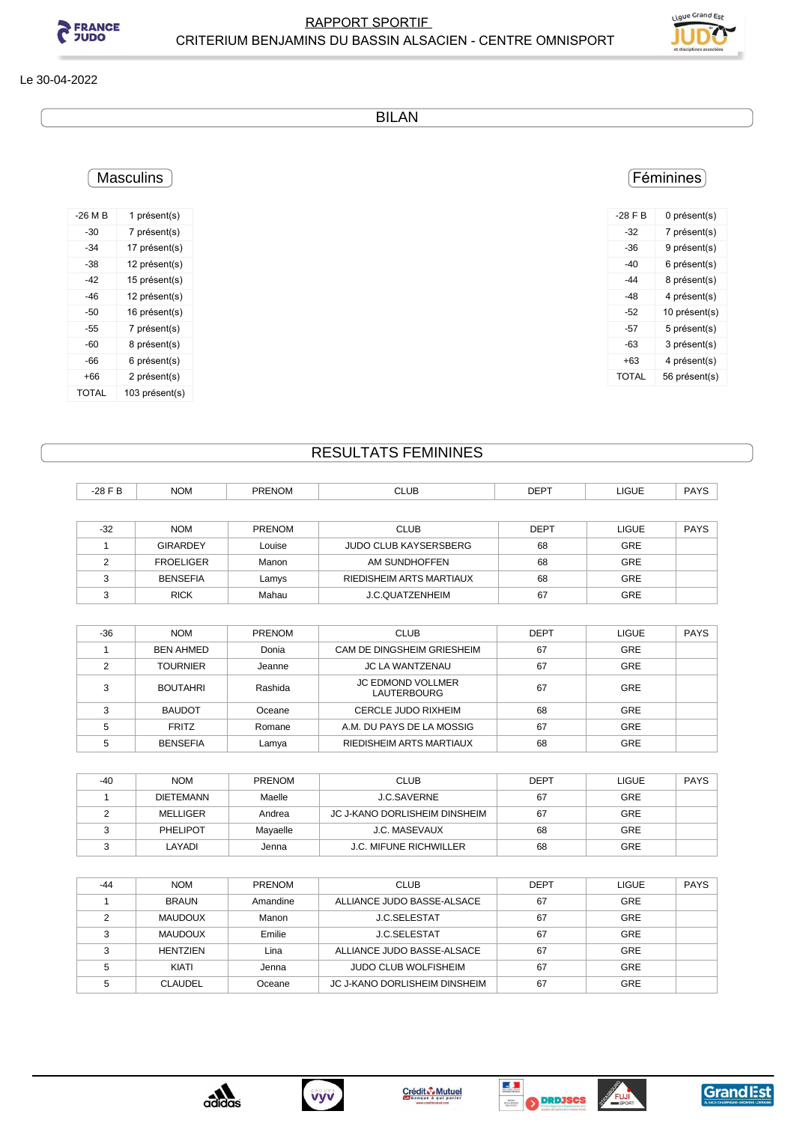



### Le 30-04-2022

BILAN

## Féminines

| $-28$ F B    | 0 présent(s)  |
|--------------|---------------|
| -32          | 7 présent(s)  |
| $-36$        | 9 présent(s)  |
| $-40$        | 6 présent(s)  |
| -44          | 8 présent(s)  |
| -48          | 4 présent(s)  |
| -52          | 10 présent(s) |
| -57          | 5 présent(s)  |
| $-63$        | 3 présent(s)  |
| +63          | 4 présent(s)  |
| <b>TOTAL</b> | 56 présent(s) |

| -42   | 15 présent(s)  |
|-------|----------------|
| -46   | 12 présent(s)  |
| -50   | 16 présent(s)  |
| -55   | 7 présent(s)   |
| -60   | 8 présent(s)   |
| -66   | 6 présent(s)   |
| $+66$ | 2 présent(s)   |
| TOTAL | 103 présent(s) |
|       |                |

**Masculins** 

-26 M B 1 présent(s) -30 7 présent(s) -34 17 présent(s) -38 12 présent(s)

# RESULTATS FEMININES

| $-28$ F B | <b>NOM</b>       | <b>PRENOM</b> | <b>CLUB</b>                  | <b>DEPT</b> | LIGUE        | <b>PAYS</b> |
|-----------|------------------|---------------|------------------------------|-------------|--------------|-------------|
|           |                  |               |                              |             |              |             |
| $-32$     | <b>NOM</b>       | <b>PRENOM</b> | <b>CLUB</b>                  | <b>DEPT</b> | <b>LIGUE</b> | <b>PAYS</b> |
|           | <b>GIRARDEY</b>  | Louise        | <b>JUDO CLUB KAYSERSBERG</b> | 68          | <b>GRE</b>   |             |
| C         | <b>FROELIGER</b> | Manon         | AM SUNDHOFFEN                | 68          | <b>GRE</b>   |             |
| ◠         | <b>BENSEFIA</b>  | Lamys         | RIEDISHEIM ARTS MARTIAUX     | 68          | <b>GRE</b>   |             |
| $\sim$    | <b>RICK</b>      | Mahau         | J.C.QUATZENHEIM              | 67          | <b>GRE</b>   |             |

| $-36$ | <b>NOM</b>       | <b>PRENOM</b> | <b>CLUB</b>                                    | <b>DEPT</b> | <b>LIGUE</b> | <b>PAYS</b> |
|-------|------------------|---------------|------------------------------------------------|-------------|--------------|-------------|
|       | <b>BEN AHMED</b> | Donia         | CAM DE DINGSHEIM GRIESHEIM                     | 67          | <b>GRE</b>   |             |
| ◠     | <b>TOURNIER</b>  | Jeanne        | <b>JC LA WANTZENAU</b>                         | 67          | <b>GRE</b>   |             |
| 3     | <b>BOUTAHRI</b>  | Rashida       | <b>JC EDMOND VOLLMER</b><br><b>LAUTERBOURG</b> | 67          | <b>GRE</b>   |             |
| C     | <b>BAUDOT</b>    | Oceane        | CERCLE JUDO RIXHEIM                            | 68          | <b>GRE</b>   |             |
|       | <b>FRITZ</b>     | Romane        | A.M. DU PAYS DE LA MOSSIG                      | 67          | <b>GRE</b>   |             |
|       | <b>BENSEFIA</b>  | Lamya         | RIEDISHEIM ARTS MARTIAUX                       | 68          | <b>GRE</b>   |             |

| $-40$ | <b>NOM</b>       | <b>PRENOM</b> | <b>CLUB</b>                   | <b>DEPT</b> | <b>LIGUE</b> | <b>PAYS</b> |
|-------|------------------|---------------|-------------------------------|-------------|--------------|-------------|
|       | <b>DIETEMANN</b> | Maelle        | <b>J.C.SAVERNE</b>            | 67          | <b>GRE</b>   |             |
|       | MELLIGER         | Andrea        | JC J-KANO DORLISHEIM DINSHEIM | 67          | <b>GRE</b>   |             |
|       | PHELIPOT         | Mayaelle      | J.C. MASEVAUX                 | 68          | <b>GRE</b>   |             |
|       | LAYADI           | Jenna         | <b>J.C. MIFUNE RICHWILLER</b> | 68          | GRE          |             |

| $-44$ | <b>NOM</b>      | <b>PRENOM</b> | <b>CLUB</b>                   | <b>DEPT</b> | LIGUE      | <b>PAYS</b> |
|-------|-----------------|---------------|-------------------------------|-------------|------------|-------------|
|       | <b>BRAUN</b>    | Amandine      | ALLIANCE JUDO BASSE-ALSACE    | 67          | <b>GRE</b> |             |
|       | <b>MAUDOUX</b>  | Manon         | J.C.SELESTAT                  | 67          | <b>GRE</b> |             |
| ◠     | <b>MAUDOUX</b>  | Emilie        | <b>J.C.SELESTAT</b>           | 67          | <b>GRE</b> |             |
|       | <b>HENTZIEN</b> | Lina          | ALLIANCE JUDO BASSE-ALSACE    | 67          | <b>GRE</b> |             |
| 5     | KIATI           | Jenna         | <b>JUDO CLUB WOLFISHEIM</b>   | 67          | <b>GRE</b> |             |
|       | <b>CLAUDEL</b>  | Oceane        | JC J-KANO DORLISHEIM DINSHEIM | 67          | GRE        |             |









FUJI

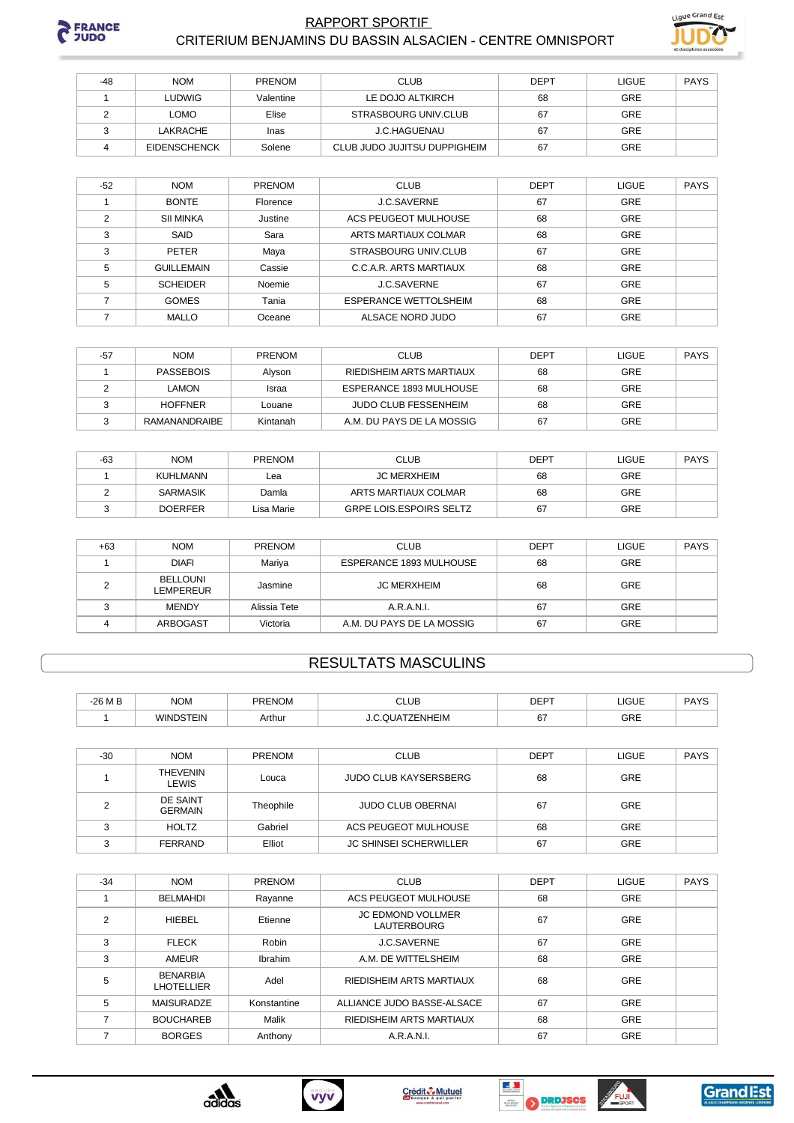

#### **RAPPORT SPORTIF** CRITERIUM BENJAMINS DU BASSIN ALSACIEN - CENTRE OMNISPORT



| -48 | <b>NOM</b>          | PRENOM    | <b>CLUB</b>                  | <b>DEPT</b> | <b>LIGUE</b> | PAYS |
|-----|---------------------|-----------|------------------------------|-------------|--------------|------|
|     | LUDWIG              | Valentine | LE DOJO ALTKIRCH             | 68          | <b>GRE</b>   |      |
|     | LOMO                | Elise     | STRASBOURG UNIV.CLUB         | 67          | <b>GRE</b>   |      |
|     | LAKRACHE            | Inas      | J.C.HAGUENAU                 | 67          | <b>GRE</b>   |      |
|     | <b>EIDENSCHENCK</b> | Solene    | CLUB JUDO JUJITSU DUPPIGHEIM | 67          | <b>GRE</b>   |      |

| $-52$ | <b>NOM</b>        | <b>PRENOM</b> | <b>CLUB</b>                  | <b>DEPT</b> | <b>LIGUE</b> | <b>PAYS</b> |
|-------|-------------------|---------------|------------------------------|-------------|--------------|-------------|
|       | <b>BONTE</b>      | Florence      | <b>J.C.SAVERNE</b>           | 67          | GRE          |             |
| C     | <b>SII MINKA</b>  | Justine       | ACS PEUGEOT MULHOUSE         | 68          | GRE          |             |
| 3     | SAID              | Sara          | ARTS MARTIAUX COLMAR         | 68          | GRE          |             |
| з     | <b>PETER</b>      | Maya          | <b>STRASBOURG UNIV.CLUB</b>  | 67          | GRE          |             |
| 5     | <b>GUILLEMAIN</b> | Cassie        | C.C.A.R. ARTS MARTIAUX       | 68          | GRE          |             |
| 5     | <b>SCHEIDER</b>   | Noemie        | <b>J.C.SAVERNE</b>           | 67          | GRE          |             |
|       | <b>GOMES</b>      | Tania         | <b>ESPERANCE WETTOLSHEIM</b> | 68          | GRE          |             |
|       | <b>MALLO</b>      | Oceane        | ALSACE NORD JUDO             | 67          | GRE          |             |

| -57 | <b>NOM</b>     | <b>PRENOM</b> | <b>CLUB</b>                 | <b>DEPT</b> | LIGUE      | PAYS |
|-----|----------------|---------------|-----------------------------|-------------|------------|------|
|     | PASSEBOIS      | Alvson        | RIEDISHEIM ARTS MARTIAUX    | 68          | GRE        |      |
|     | LAMON          | <b>Israa</b>  | ESPERANCE 1893 MULHOUSE     | 68          | GRE        |      |
|     | <b>HOFFNER</b> | Louane        | <b>JUDO CLUB FESSENHEIM</b> | 68          | <b>GRE</b> |      |
|     | RAMANANDRAIBE  | Kintanah      | A.M. DU PAYS DE LA MOSSIG   | 67          | <b>GRE</b> |      |

| -63 | <b>NOM</b>      | <b>PRENOM</b> | <b>CLUB</b>                    | <b>DEPT</b> | LIGUE      | PAYS |
|-----|-----------------|---------------|--------------------------------|-------------|------------|------|
|     | KUHLMANN        | Lea           | <b>JC MERXHEIM</b>             | 68          | <b>GRE</b> |      |
|     | <b>SARMASIK</b> | Damla         | ARTS MARTIAUX COLMAR           | 68          | GRE        |      |
|     | <b>DOERFER</b>  | Lisa Marie    | <b>GRPE LOIS.ESPOIRS SELTZ</b> | 67          | GRE        |      |

| $+63$ | <b>NOM</b>                   | PRENOM       | <b>CLUB</b>               | <b>DEPT</b> | <b>LIGUE</b> | <b>PAYS</b> |
|-------|------------------------------|--------------|---------------------------|-------------|--------------|-------------|
|       | <b>DIAFI</b>                 | Mariya       | ESPERANCE 1893 MULHOUSE   | 68          | <b>GRE</b>   |             |
|       | <b>BELLOUNI</b><br>LEMPEREUR | Jasmine      | <b>JC MERXHEIM</b>        | 68          | GRE          |             |
|       | <b>MENDY</b>                 | Alissia Tete | A.R.A.N.I.                | 67          | <b>GRE</b>   |             |
|       | ARBOGAST                     | Victoria     | A.M. DU PAYS DE LA MOSSIG | 67          | <b>GRE</b>   |             |

## **RESULTATS MASCULINS**

| $-26M$ B | $\sim$<br>'NUIV. | <b>PRENON</b><br>งเวเ | CLUB           | $-$<br>◡└┌ | 1011<br>-1995   | DAVO<br>טורז |
|----------|------------------|-----------------------|----------------|------------|-----------------|--------------|
|          | <b>EIN</b>       | <b>\rthur</b>         | <b>ZENHEIM</b> | 67         | $\cap$ DE<br>ᇅᄠ |              |

| $-30$ | <b>NOM</b>                        | <b>PRENOM</b> | <b>CLUB</b>                   | <b>DEPT</b> | <b>LIGUE</b> | <b>PAYS</b> |
|-------|-----------------------------------|---------------|-------------------------------|-------------|--------------|-------------|
|       | <b>THEVENIN</b><br>LEWIS          | Louca         | JUDO CLUB KAYSERSBERG         | 68          | <b>GRE</b>   |             |
|       | <b>DE SAINT</b><br><b>GERMAIN</b> | Theophile     | JUDO CLUB OBERNAI             | 67          | <b>GRE</b>   |             |
|       | <b>HOLTZ</b>                      | Gabriel       | ACS PEUGEOT MULHOUSE          | 68          | <b>GRE</b>   |             |
|       | <b>FERRAND</b>                    | Elliot        | <b>JC SHINSEI SCHERWILLER</b> | 67          | GRE          |             |

| $-34$         | <b>NOM</b>                           | PRENOM      | <b>CLUB</b>                                    | <b>DEPT</b> | <b>LIGUE</b> | <b>PAYS</b> |
|---------------|--------------------------------------|-------------|------------------------------------------------|-------------|--------------|-------------|
|               | <b>BELMAHDI</b>                      | Rayanne     | ACS PEUGEOT MULHOUSE                           | 68          | <b>GRE</b>   |             |
| $\mathcal{P}$ | <b>HIEBEL</b>                        | Etienne     | <b>JC EDMOND VOLLMER</b><br><b>LAUTERBOURG</b> | 67          | <b>GRE</b>   |             |
| 3             | <b>FLECK</b>                         | Robin       | <b>J.C.SAVERNE</b>                             | 67          | <b>GRE</b>   |             |
| 3             | AMEUR                                | Ibrahim     | A.M. DE WITTELSHEIM                            | 68          | <b>GRE</b>   |             |
| 5             | <b>BENARBIA</b><br><b>LHOTELLIER</b> | Adel        | RIEDISHEIM ARTS MARTIAUX                       | 68          | <b>GRE</b>   |             |
| 5             | <b>MAISURADZE</b>                    | Konstantine | ALLIANCE JUDO BASSE-ALSACE                     | 67          | <b>GRE</b>   |             |
|               | <b>BOUCHAREB</b>                     | Malik       | RIEDISHEIM ARTS MARTIAUX                       | 68          | <b>GRE</b>   |             |
|               | <b>BORGES</b>                        | Anthony     | A.R.A.N.I.                                     | 67          | <b>GRE</b>   |             |









**SOUTHERN PORT** 

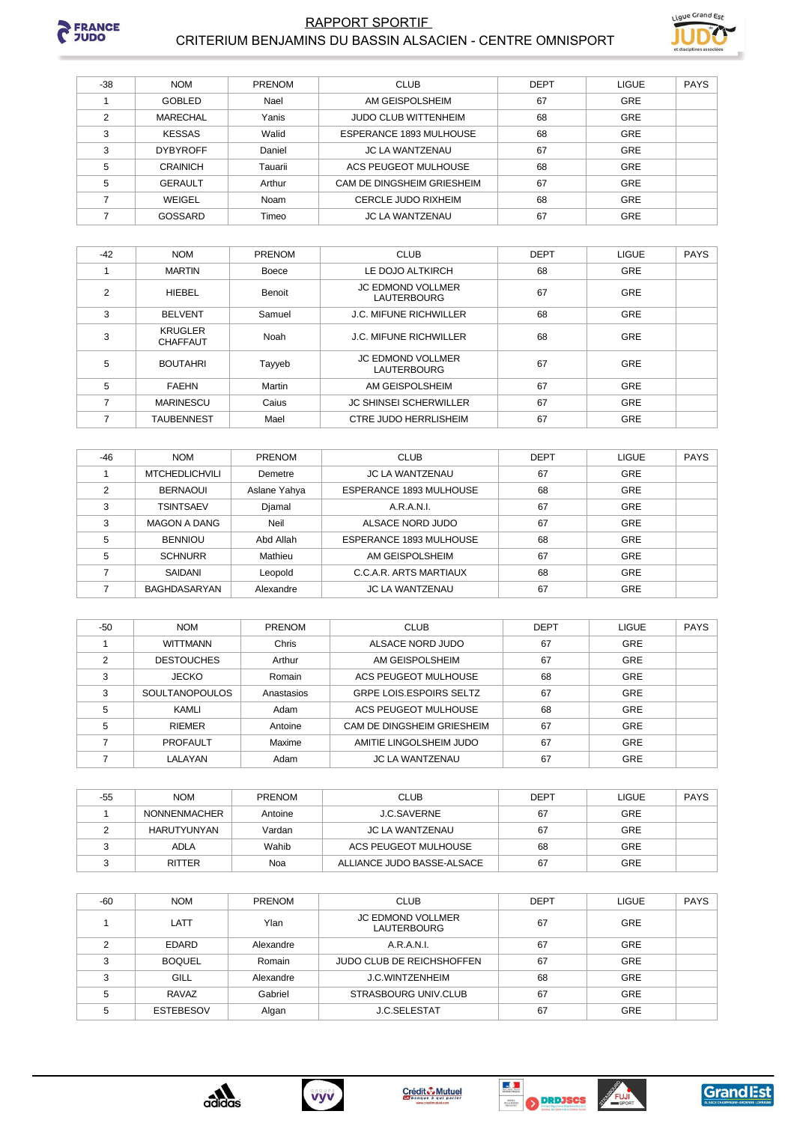

#### **RAPPORT SPORTIF** CRITERIUM BENJAMINS DU BASSIN ALSACIEN - CENTRE OMNISPORT



| $-38$         | <b>NOM</b>      | <b>PRENOM</b> | <b>CLUB</b>                 | <b>DEPT</b> | <b>LIGUE</b> | <b>PAYS</b> |
|---------------|-----------------|---------------|-----------------------------|-------------|--------------|-------------|
|               | GOBLED          | Nael          | AM GEISPOLSHEIM             | 67          | GRE          |             |
| $\mathcal{P}$ | MARECHAL        | Yanis         | <b>JUDO CLUB WITTENHEIM</b> | 68          | GRE          |             |
| 3             | <b>KESSAS</b>   | Walid         | ESPERANCE 1893 MULHOUSE     | 68          | GRE          |             |
| 3             | <b>DYBYROFF</b> | Daniel        | <b>JC LA WANTZENAU</b>      | 67          | GRE          |             |
| 5             | <b>CRAINICH</b> | Tauarii       | ACS PEUGEOT MULHOUSE        | 68          | GRE          |             |
| 5             | <b>GERAULT</b>  | Arthur        | CAM DE DINGSHEIM GRIESHEIM  | 67          | GRE          |             |
|               | WEIGEL          | Noam          | CERCLE JUDO RIXHEIM         | 68          | GRE          |             |
|               | GOSSARD         | Timeo         | <b>JC LA WANTZENAU</b>      | 67          | GRE          |             |

| $-42$          | <b>NOM</b>                        | <b>PRENOM</b> | <b>CLUB</b>                                    | <b>DEPT</b> | <b>LIGUE</b> | <b>PAYS</b> |
|----------------|-----------------------------------|---------------|------------------------------------------------|-------------|--------------|-------------|
|                | <b>MARTIN</b>                     | Boece         | LE DOJO ALTKIRCH                               | 68          | <b>GRE</b>   |             |
| $\mathfrak{p}$ | HIEBEL                            | Benoit        | <b>JC EDMOND VOLLMER</b><br><b>LAUTERBOURG</b> | 67          | GRE          |             |
| 3              | <b>BELVENT</b>                    | Samuel        | <b>J.C. MIFUNE RICHWILLER</b>                  | 68          | GRE          |             |
| 3              | <b>KRUGLER</b><br><b>CHAFFAUT</b> | Noah          | <b>J.C. MIFUNE RICHWILLER</b>                  | 68          | GRE          |             |
| 5              | <b>BOUTAHRI</b>                   | Tayyeb        | <b>JC EDMOND VOLLMER</b><br><b>LAUTERBOURG</b> | 67          | GRE          |             |
| 5              | <b>FAEHN</b>                      | Martin        | AM GEISPOLSHEIM                                | 67          | <b>GRE</b>   |             |
| 7              | <b>MARINESCU</b>                  | Caius         | <b>JC SHINSEI SCHERWILLER</b>                  | 67          | <b>GRE</b>   |             |
| ⇁              | <b>TAUBENNEST</b>                 | Mael          | <b>CTRE JUDO HERRLISHEIM</b>                   | 67          | <b>GRE</b>   |             |

| $-46$          | <b>NOM</b>            | <b>PRENOM</b> | <b>CLUB</b>             | <b>DEPT</b> | <b>LIGUE</b> | <b>PAYS</b> |
|----------------|-----------------------|---------------|-------------------------|-------------|--------------|-------------|
|                | <b>MTCHEDLICHVILI</b> | Demetre       | <b>JC LA WANTZENAU</b>  | 67          | <b>GRE</b>   |             |
| $\overline{2}$ | <b>BERNAOUI</b>       | Aslane Yahya  | ESPERANCE 1893 MULHOUSE | 68          | <b>GRE</b>   |             |
| 3              | <b>TSINTSAEV</b>      | Djamal        | A.R.A.N.I.              | 67          | <b>GRE</b>   |             |
| 3              | <b>MAGON A DANG</b>   | Neil          | ALSACE NORD JUDO        | 67          | GRE          |             |
| 5              | <b>BENNIOU</b>        | Abd Allah     | ESPERANCE 1893 MULHOUSE | 68          | GRE          |             |
| 5              | <b>SCHNURR</b>        | Mathieu       | AM GEISPOLSHEIM         | 67          | <b>GRE</b>   |             |
|                | SAIDANI               | Leopold       | C.C.A.R. ARTS MARTIAUX  | 68          | <b>GRE</b>   |             |
|                | BAGHDASARYAN          | Alexandre     | <b>JC LA WANTZENAU</b>  | 67          | <b>GRE</b>   |             |

| $-50$ | <b>NOM</b>            | <b>PRENOM</b> | <b>CLUB</b>                    | <b>DEPT</b> | <b>LIGUE</b> | <b>PAYS</b> |
|-------|-----------------------|---------------|--------------------------------|-------------|--------------|-------------|
|       | <b>WITTMANN</b>       | Chris         | ALSACE NORD JUDO               | 67          | GRE          |             |
|       | <b>DESTOUCHES</b>     | Arthur        | AM GEISPOLSHEIM                | 67          | GRE          |             |
|       | <b>JECKO</b>          | Romain        | ACS PEUGEOT MULHOUSE           | 68          | GRE          |             |
| 3     | <b>SOULTANOPOULOS</b> | Anastasios    | <b>GRPE LOIS ESPOIRS SELTZ</b> | 67          | GRE          |             |
| 5     | KAMLI                 | Adam          | ACS PEUGEOT MULHOUSE           | 68          | GRE          |             |
| 5     | <b>RIFMFR</b>         | Antoine       | CAM DE DINGSHEIM GRIESHEIM     | 67          | GRE          |             |
|       | <b>PROFAULT</b>       | Maxime        | AMITIE LINGOLSHEIM JUDO        | 67          | GRE          |             |
|       | LALAYAN               | Adam          | <b>JC LA WANTZENAU</b>         | 67          | <b>GRE</b>   |             |

| -55 | <b>NOM</b>    | <b>PRENOM</b> | <b>CLUB</b>                | <b>DEPT</b> | <b>LIGUE</b> | PAYS |
|-----|---------------|---------------|----------------------------|-------------|--------------|------|
|     | NONNENMACHER  | Antoine       | J.C.SAVERNE                | 67          | <b>GRE</b>   |      |
|     | HARUTYUNYAN   | Vardan        | JC LA WANTZENAU            | 67          | GRE          |      |
|     | <b>ADLA</b>   | Wahib         | ACS PEUGEOT MULHOUSE       | 68          | <b>GRE</b>   |      |
|     | <b>RITTER</b> | Noa           | ALLIANCE JUDO BASSE-ALSACE | 67          | <b>GRE</b>   |      |

| $-60$ | <b>NOM</b>       | <b>PRENOM</b> | <b>CLUB</b>                                    | <b>DEPT</b> | LIGUE      | <b>PAYS</b> |
|-------|------------------|---------------|------------------------------------------------|-------------|------------|-------------|
|       | LATT             | Ylan          | <b>JC EDMOND VOLLMER</b><br><b>LAUTERBOURG</b> | 67          | <b>GRE</b> |             |
| っ     | <b>EDARD</b>     | Alexandre     | A.R.A.N.I.                                     | 67          | <b>GRE</b> |             |
| 3     | <b>BOQUEL</b>    | Romain        | <b>JUDO CLUB DE REICHSHOFFEN</b>               | 67          | <b>GRE</b> |             |
| 3     | GILL             | Alexandre     | <b>J.C.WINTZENHEIM</b>                         | 68          | <b>GRE</b> |             |
| 5     | RAVAZ            | Gabriel       | STRASBOURG UNIV.CLUB                           | 67          | <b>GRE</b> |             |
| 5     | <b>ESTEBESOV</b> | Algan         | <b>J.C.SELESTAT</b>                            | 67          | <b>GRE</b> |             |